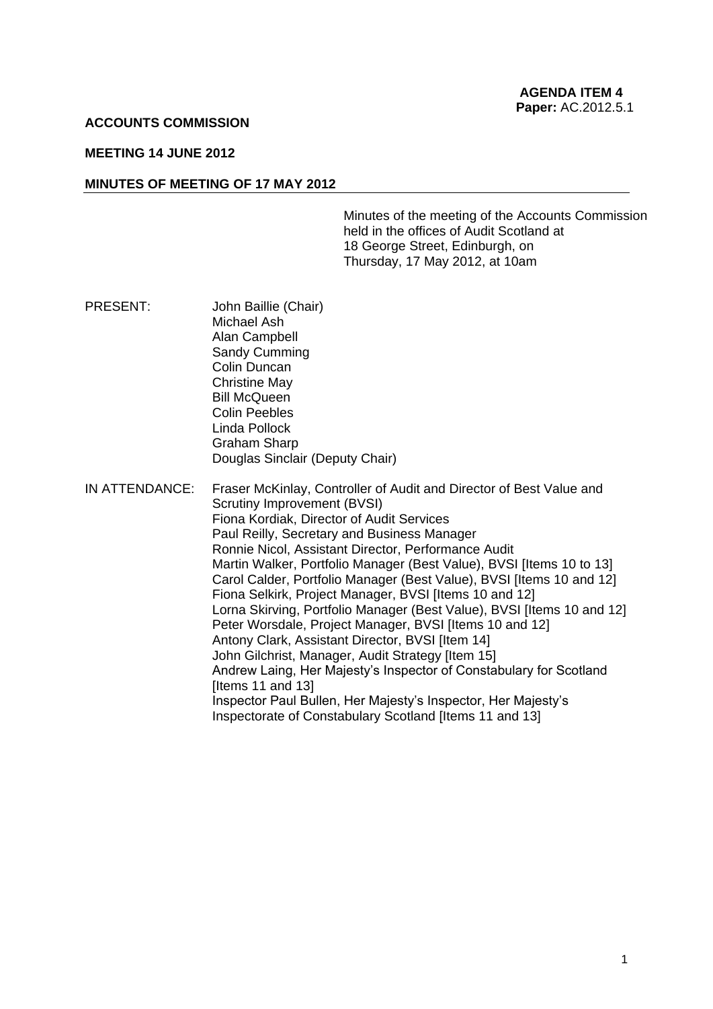#### **ACCOUNTS COMMISSION**

#### **MEETING 14 JUNE 2012**

#### **MINUTES OF MEETING OF 17 MAY 2012**

Minutes of the meeting of the Accounts Commission held in the offices of Audit Scotland at 18 George Street, Edinburgh, on Thursday, 17 May 2012, at 10am

- PRESENT: John Baillie (Chair) Michael Ash Alan Campbell Sandy Cumming Colin Duncan Christine May Bill McQueen Colin Peebles Linda Pollock Graham Sharp Douglas Sinclair (Deputy Chair)
- IN ATTENDANCE: Fraser McKinlay, Controller of Audit and Director of Best Value and Scrutiny Improvement (BVSI) Fiona Kordiak, Director of Audit Services Paul Reilly, Secretary and Business Manager Ronnie Nicol, Assistant Director, Performance Audit Martin Walker, Portfolio Manager (Best Value), BVSI Iltems 10 to 131 Carol Calder, Portfolio Manager (Best Value), BVSI [Items 10 and 12] Fiona Selkirk, Project Manager, BVSI [Items 10 and 12] Lorna Skirving, Portfolio Manager (Best Value), BVSI [Items 10 and 12] Peter Worsdale, Project Manager, BVSI [Items 10 and 12] Antony Clark, Assistant Director, BVSI [Item 14] John Gilchrist, Manager, Audit Strategy [Item 15] Andrew Laing, Her Majesty's Inspector of Constabulary for Scotland [Items 11 and 13] Inspector Paul Bullen, Her Majesty's Inspector, Her Majesty's Inspectorate of Constabulary Scotland [Items 11 and 13]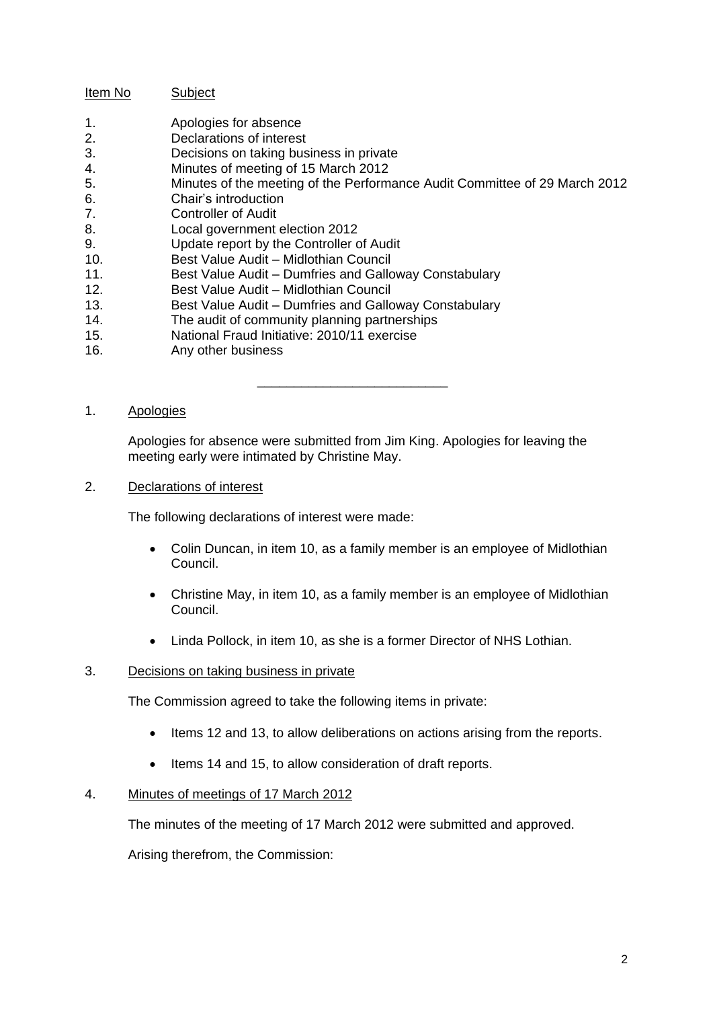## Item No Subject

- 1. Apologies for absence
- 2. Declarations of interest
- 3. Decisions on taking business in private
- 4. Minutes of meeting of 15 March 2012
- 5. Minutes of the meeting of the Performance Audit Committee of 29 March 2012
- 6. Chair's introduction
- 7. Controller of Audit
- 8. Local government election 2012
- 9. Update report by the Controller of Audit
- 10. Best Value Audit Midlothian Council
- 11. Best Value Audit Dumfries and Galloway Constabulary
- 12. Best Value Audit Midlothian Council
- 13. Best Value Audit Dumfries and Galloway Constabulary
- 14. The audit of community planning partnerships
- 15. National Fraud Initiative: 2010/11 exercise
- 16. Any other business

## 1. Apologies

Apologies for absence were submitted from Jim King. Apologies for leaving the meeting early were intimated by Christine May.

\_\_\_\_\_\_\_\_\_\_\_\_\_\_\_\_\_\_\_\_\_\_\_\_\_\_

2. Declarations of interest

The following declarations of interest were made:

- Colin Duncan, in item 10, as a family member is an employee of Midlothian Council.
- Christine May, in item 10, as a family member is an employee of Midlothian Council.
- Linda Pollock, in item 10, as she is a former Director of NHS Lothian.

## 3. Decisions on taking business in private

The Commission agreed to take the following items in private:

- Items 12 and 13, to allow deliberations on actions arising from the reports.
- Items 14 and 15, to allow consideration of draft reports.

## 4. Minutes of meetings of 17 March 2012

The minutes of the meeting of 17 March 2012 were submitted and approved.

Arising therefrom, the Commission: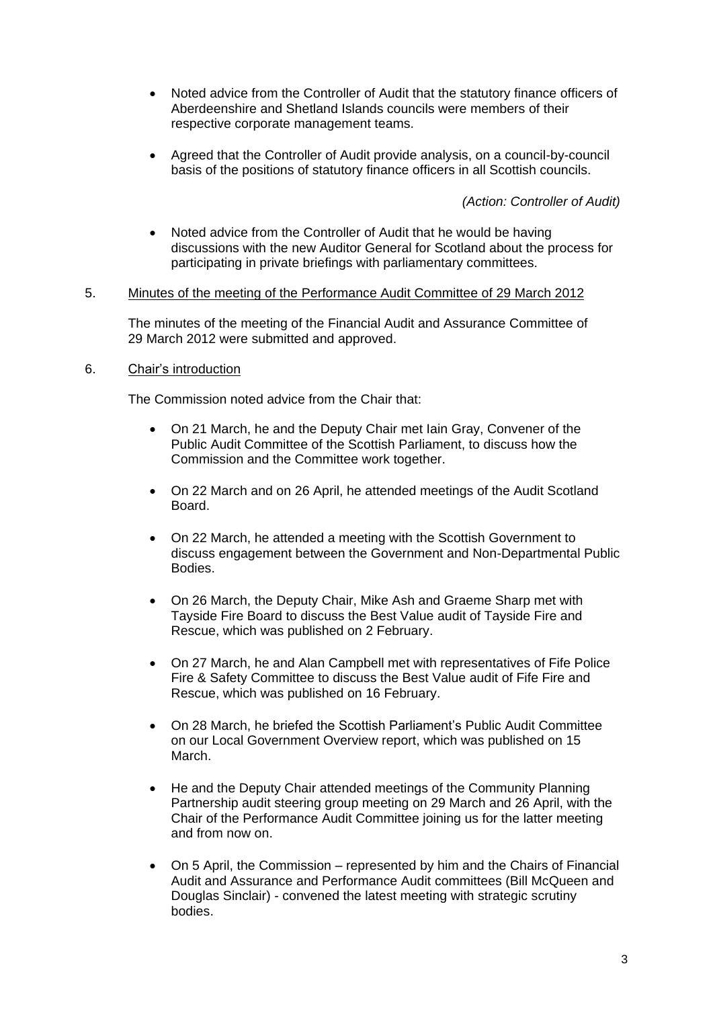- Noted advice from the Controller of Audit that the statutory finance officers of Aberdeenshire and Shetland Islands councils were members of their respective corporate management teams.
- Agreed that the Controller of Audit provide analysis, on a council-by-council basis of the positions of statutory finance officers in all Scottish councils.

*(Action: Controller of Audit)*

 Noted advice from the Controller of Audit that he would be having discussions with the new Auditor General for Scotland about the process for participating in private briefings with parliamentary committees.

#### 5. Minutes of the meeting of the Performance Audit Committee of 29 March 2012

The minutes of the meeting of the Financial Audit and Assurance Committee of 29 March 2012 were submitted and approved.

## 6. Chair's introduction

The Commission noted advice from the Chair that:

- On 21 March, he and the Deputy Chair met Iain Gray, Convener of the Public Audit Committee of the Scottish Parliament, to discuss how the Commission and the Committee work together.
- On 22 March and on 26 April, he attended meetings of the Audit Scotland Board.
- On 22 March, he attended a meeting with the Scottish Government to discuss engagement between the Government and Non-Departmental Public Bodies.
- On 26 March, the Deputy Chair, Mike Ash and Graeme Sharp met with Tayside Fire Board to discuss the Best Value audit of Tayside Fire and Rescue, which was published on 2 February.
- On 27 March, he and Alan Campbell met with representatives of Fife Police Fire & Safety Committee to discuss the Best Value audit of Fife Fire and Rescue, which was published on 16 February.
- On 28 March, he briefed the Scottish Parliament's Public Audit Committee on our Local Government Overview report, which was published on 15 March.
- He and the Deputy Chair attended meetings of the Community Planning Partnership audit steering group meeting on 29 March and 26 April, with the Chair of the Performance Audit Committee joining us for the latter meeting and from now on.
- On 5 April, the Commission represented by him and the Chairs of Financial Audit and Assurance and Performance Audit committees (Bill McQueen and Douglas Sinclair) - convened the latest meeting with strategic scrutiny bodies.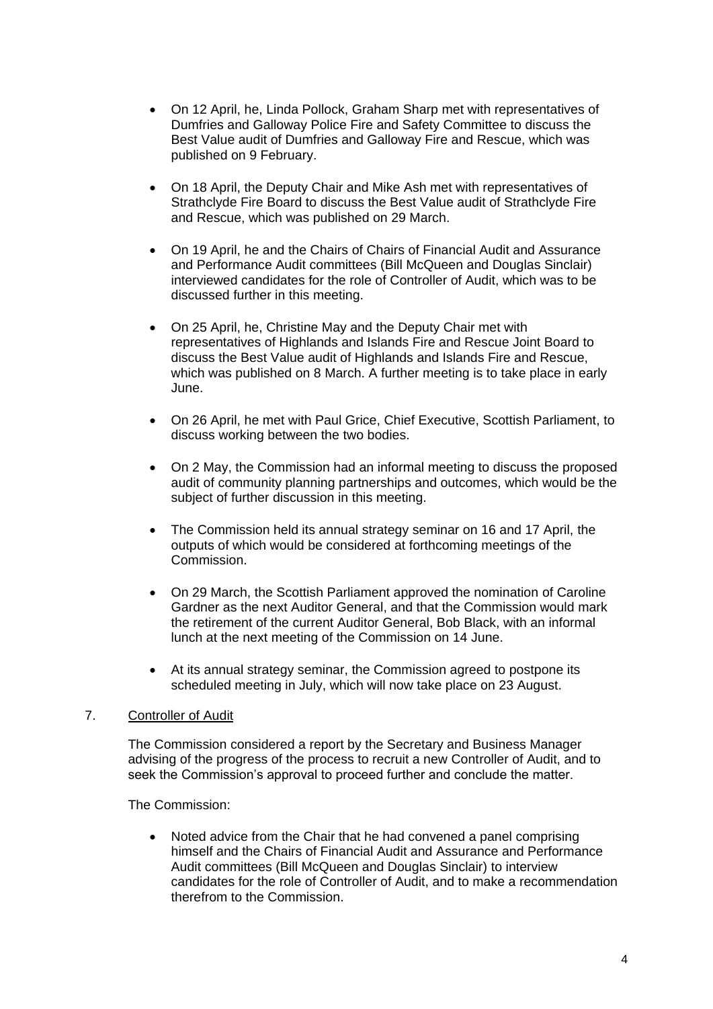- On 12 April, he, Linda Pollock, Graham Sharp met with representatives of Dumfries and Galloway Police Fire and Safety Committee to discuss the Best Value audit of Dumfries and Galloway Fire and Rescue, which was published on 9 February.
- On 18 April, the Deputy Chair and Mike Ash met with representatives of Strathclyde Fire Board to discuss the Best Value audit of Strathclyde Fire and Rescue, which was published on 29 March.
- On 19 April, he and the Chairs of Chairs of Financial Audit and Assurance and Performance Audit committees (Bill McQueen and Douglas Sinclair) interviewed candidates for the role of Controller of Audit, which was to be discussed further in this meeting.
- On 25 April, he, Christine May and the Deputy Chair met with representatives of Highlands and Islands Fire and Rescue Joint Board to discuss the Best Value audit of Highlands and Islands Fire and Rescue, which was published on 8 March. A further meeting is to take place in early June.
- On 26 April, he met with Paul Grice, Chief Executive, Scottish Parliament, to discuss working between the two bodies.
- On 2 May, the Commission had an informal meeting to discuss the proposed audit of community planning partnerships and outcomes, which would be the subject of further discussion in this meeting.
- The Commission held its annual strategy seminar on 16 and 17 April, the outputs of which would be considered at forthcoming meetings of the Commission.
- On 29 March, the Scottish Parliament approved the nomination of Caroline Gardner as the next Auditor General, and that the Commission would mark the retirement of the current Auditor General, Bob Black, with an informal lunch at the next meeting of the Commission on 14 June.
- At its annual strategy seminar, the Commission agreed to postpone its scheduled meeting in July, which will now take place on 23 August.

## 7. Controller of Audit

The Commission considered a report by the Secretary and Business Manager advising of the progress of the process to recruit a new Controller of Audit, and to seek the Commission's approval to proceed further and conclude the matter.

The Commission:

• Noted advice from the Chair that he had convened a panel comprising himself and the Chairs of Financial Audit and Assurance and Performance Audit committees (Bill McQueen and Douglas Sinclair) to interview candidates for the role of Controller of Audit, and to make a recommendation therefrom to the Commission.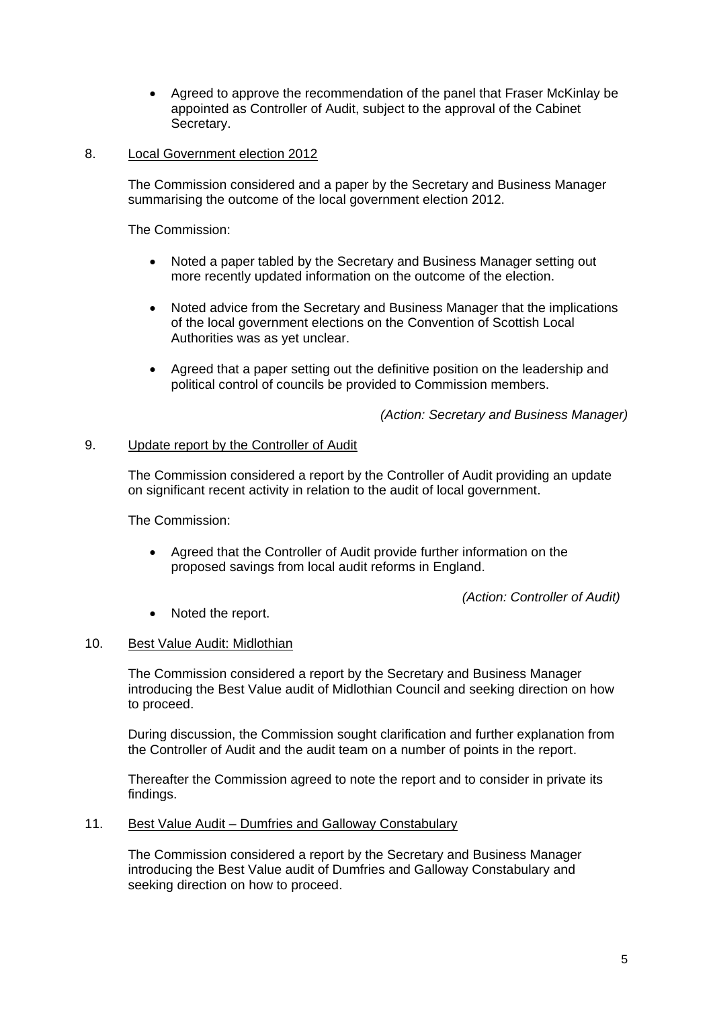- Agreed to approve the recommendation of the panel that Fraser McKinlay be appointed as Controller of Audit, subject to the approval of the Cabinet Secretary.
- 8. Local Government election 2012

The Commission considered and a paper by the Secretary and Business Manager summarising the outcome of the local government election 2012.

The Commission:

- Noted a paper tabled by the Secretary and Business Manager setting out more recently updated information on the outcome of the election.
- Noted advice from the Secretary and Business Manager that the implications of the local government elections on the Convention of Scottish Local Authorities was as yet unclear.
- Agreed that a paper setting out the definitive position on the leadership and political control of councils be provided to Commission members.

*(Action: Secretary and Business Manager)*

## 9. Update report by the Controller of Audit

The Commission considered a report by the Controller of Audit providing an update on significant recent activity in relation to the audit of local government.

The Commission:

 Agreed that the Controller of Audit provide further information on the proposed savings from local audit reforms in England.

*(Action: Controller of Audit)*

• Noted the report.

## 10. Best Value Audit: Midlothian

The Commission considered a report by the Secretary and Business Manager introducing the Best Value audit of Midlothian Council and seeking direction on how to proceed.

During discussion, the Commission sought clarification and further explanation from the Controller of Audit and the audit team on a number of points in the report.

Thereafter the Commission agreed to note the report and to consider in private its findings.

11. Best Value Audit – Dumfries and Galloway Constabulary

The Commission considered a report by the Secretary and Business Manager introducing the Best Value audit of Dumfries and Galloway Constabulary and seeking direction on how to proceed.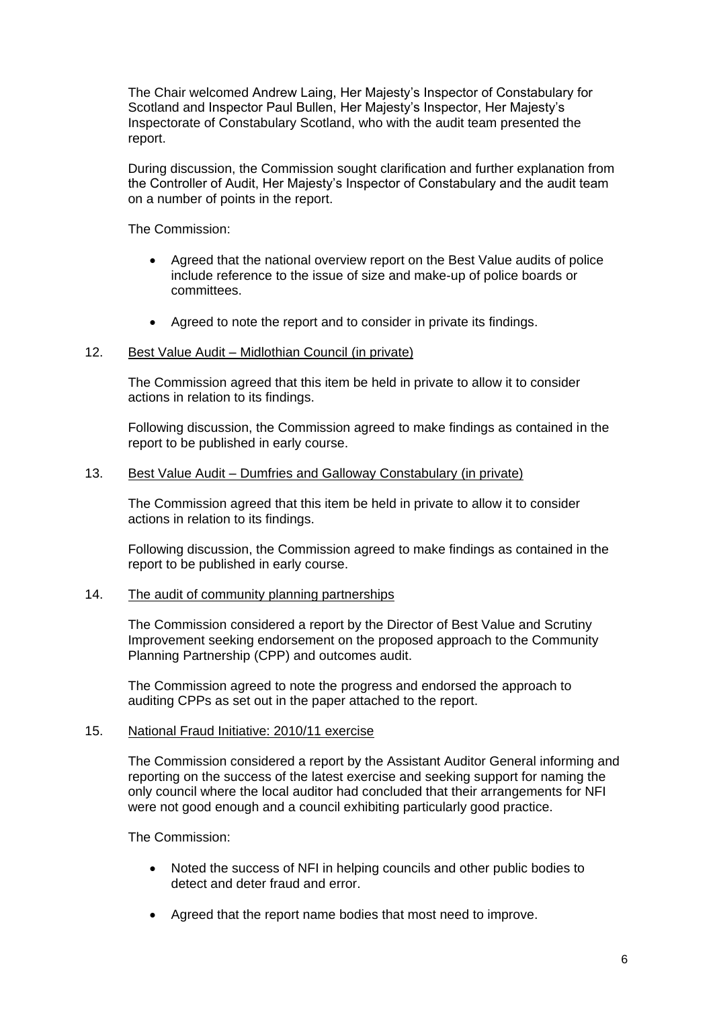The Chair welcomed Andrew Laing, Her Majesty's Inspector of Constabulary for Scotland and Inspector Paul Bullen, Her Majesty's Inspector, Her Majesty's Inspectorate of Constabulary Scotland, who with the audit team presented the report.

During discussion, the Commission sought clarification and further explanation from the Controller of Audit, Her Majesty's Inspector of Constabulary and the audit team on a number of points in the report.

The Commission:

- Agreed that the national overview report on the Best Value audits of police include reference to the issue of size and make-up of police boards or committees.
- Agreed to note the report and to consider in private its findings.

#### 12. Best Value Audit – Midlothian Council (in private)

The Commission agreed that this item be held in private to allow it to consider actions in relation to its findings.

Following discussion, the Commission agreed to make findings as contained in the report to be published in early course.

#### 13. Best Value Audit – Dumfries and Galloway Constabulary (in private)

The Commission agreed that this item be held in private to allow it to consider actions in relation to its findings.

Following discussion, the Commission agreed to make findings as contained in the report to be published in early course.

#### 14. The audit of community planning partnerships

The Commission considered a report by the Director of Best Value and Scrutiny Improvement seeking endorsement on the proposed approach to the Community Planning Partnership (CPP) and outcomes audit.

The Commission agreed to note the progress and endorsed the approach to auditing CPPs as set out in the paper attached to the report.

#### 15. National Fraud Initiative: 2010/11 exercise

The Commission considered a report by the Assistant Auditor General informing and reporting on the success of the latest exercise and seeking support for naming the only council where the local auditor had concluded that their arrangements for NFI were not good enough and a council exhibiting particularly good practice.

The Commission:

- Noted the success of NFI in helping councils and other public bodies to detect and deter fraud and error.
- Agreed that the report name bodies that most need to improve.